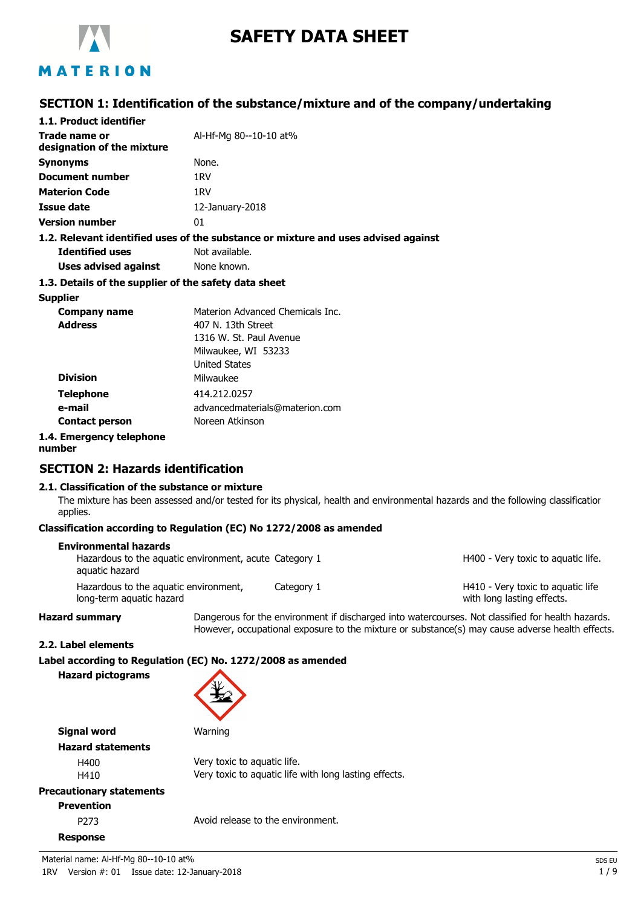

# **SAFETY DATA SHEET**

# MATERION

# **SECTION 1: Identification of the substance/mixture and of the company/undertaking**

| 1.1. Product identifier                               |                                                                                    |
|-------------------------------------------------------|------------------------------------------------------------------------------------|
| Trade name or<br>designation of the mixture           | Al-Hf-Mg 80--10-10 at%                                                             |
| <b>Synonyms</b>                                       | None.                                                                              |
| Document number                                       | 1RV                                                                                |
| <b>Materion Code</b>                                  | 1RV                                                                                |
| Issue date                                            | 12-January-2018                                                                    |
| <b>Version number</b>                                 | 01                                                                                 |
|                                                       | 1.2. Relevant identified uses of the substance or mixture and uses advised against |
| <b>Identified uses</b>                                | Not available.                                                                     |
| <b>Uses advised against</b>                           | None known.                                                                        |
| 1.3. Details of the supplier of the safety data sheet |                                                                                    |
| <b>Supplier</b>                                       |                                                                                    |
| Company name                                          | Materion Advanced Chemicals Inc.                                                   |
| <b>Address</b>                                        | 407 N. 13th Street                                                                 |
|                                                       | 1316 W. St. Paul Avenue                                                            |
|                                                       | Milwaukee, WI 53233                                                                |
|                                                       | <b>United States</b>                                                               |
| <b>Division</b>                                       | Milwaukee                                                                          |
| <b>Telephone</b>                                      | 414.212.0257                                                                       |
| e-mail                                                | advancedmaterials@materion.com                                                     |
| <b>Contact person</b>                                 | Noreen Atkinson                                                                    |
| 1.4. Emergency telephone                              |                                                                                    |

**number**

# **SECTION 2: Hazards identification**

### **2.1. Classification of the substance or mixture**

The mixture has been assessed and/or tested for its physical, health and environmental hazards and the following classification applies.

### **Classification according to Regulation (EC) No 1272/2008 as amended**

| <b>Environmental hazards</b><br>Hazardous to the aquatic environment, acute Category 1<br>aquatic hazard |            | H400 - Very toxic to aguatic life.                              |
|----------------------------------------------------------------------------------------------------------|------------|-----------------------------------------------------------------|
| Hazardous to the aquatic environment,<br>long-term aquatic hazard                                        | Category 1 | H410 - Very toxic to aguatic life<br>with long lasting effects. |

**Hazard summary** Dangerous for the environment if discharged into watercourses. Not classified for health hazards. However, occupational exposure to the mixture or substance(s) may cause adverse health effects.

### **2.2. Label elements**

**Label according to Regulation (EC) No. 1272/2008 as amended**

**Hazard pictograms**



**Signal word** Warning **Hazard statements**

| H400 | Very toxic to aquatic life.                           |
|------|-------------------------------------------------------|
| H410 | Very toxic to aguatic life with long lasting effects. |

## **Precautionary statements**

# **Prevention**

**Response**

P273 Avoid release to the environment.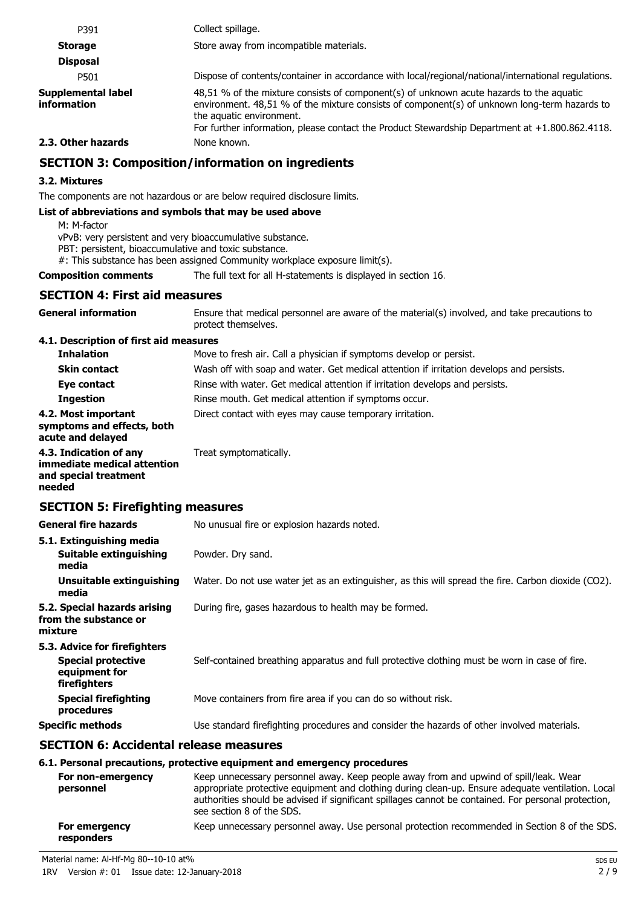| P391                              | Collect spillage.                                                                                                                                                                                                                                                                                                        |
|-----------------------------------|--------------------------------------------------------------------------------------------------------------------------------------------------------------------------------------------------------------------------------------------------------------------------------------------------------------------------|
| <b>Storage</b>                    | Store away from incompatible materials.                                                                                                                                                                                                                                                                                  |
| <b>Disposal</b>                   |                                                                                                                                                                                                                                                                                                                          |
| P501                              | Dispose of contents/container in accordance with local/regional/national/international regulations.                                                                                                                                                                                                                      |
| Supplemental label<br>information | 48,51 % of the mixture consists of component(s) of unknown acute hazards to the aquatic<br>environment. 48,51 % of the mixture consists of component(s) of unknown long-term hazards to<br>the aquatic environment.<br>For further information, please contact the Product Stewardship Department at $+1.800.862.4118$ . |

### **2.3. Other hazards** None known.

# **SECTION 3: Composition/information on ingredients**

### **3.2. Mixtures**

The components are not hazardous or are below required disclosure limits.

### **List of abbreviations and symbols that may be used above**

M: M-factor

vPvB: very persistent and very bioaccumulative substance.

PBT: persistent, bioaccumulative and toxic substance.

#: This substance has been assigned Community workplace exposure limit(s).

**Composition comments** The full text for all H-statements is displayed in section 16.

## **SECTION 4: First aid measures**

| <b>General information</b>             | Ensure that medical personnel are aware of the material(s) involved, and take precautions to<br>protect themselves. |
|----------------------------------------|---------------------------------------------------------------------------------------------------------------------|
| 4.1. Description of first aid measures |                                                                                                                     |
| <b>Inhalation</b>                      | Move to fresh air. Call a physician if symptoms develop or persist.                                                 |
| <b>Skin contact</b>                    | Wash off with soap and water. Get medical attention if irritation develops and persists.                            |
| Eye contact                            | Rinse with water. Get medical attention if irritation develops and persists.                                        |

### **Ingestion** Rinse mouth. Get medical attention if symptoms occur. **4.2. Most important** Direct contact with eyes may cause temporary irritation. **symptoms and effects, both acute and delayed**

#### **4.3. Indication of any** Treat symptomatically. **immediate medical attention and special treatment needed**

# **SECTION 5: Firefighting measures**

| General fire hazards                                                                       | No unusual fire or explosion hazards noted.                                                         |
|--------------------------------------------------------------------------------------------|-----------------------------------------------------------------------------------------------------|
| 5.1. Extinguishing media<br>Suitable extinguishing<br>media                                | Powder. Dry sand.                                                                                   |
| Unsuitable extinguishing<br>media                                                          | Water. Do not use water jet as an extinguisher, as this will spread the fire. Carbon dioxide (CO2). |
| 5.2. Special hazards arising<br>from the substance or<br>mixture                           | During fire, gases hazardous to health may be formed.                                               |
| 5.3. Advice for firefighters<br><b>Special protective</b><br>equipment for<br>firefighters | Self-contained breathing apparatus and full protective clothing must be worn in case of fire.       |
| <b>Special firefighting</b><br>procedures                                                  | Move containers from fire area if you can do so without risk.                                       |
| Specific methods                                                                           | Use standard firefighting procedures and consider the hazards of other involved materials.          |
|                                                                                            |                                                                                                     |

## **SECTION 6: Accidental release measures**

### **6.1. Personal precautions, protective equipment and emergency procedures**

| For non-emergency<br>personnel | Keep unnecessary personnel away. Keep people away from and upwind of spill/leak. Wear<br>appropriate protective equipment and clothing during clean-up. Ensure adequate ventilation. Local<br>authorities should be advised if significant spillages cannot be contained. For personal protection,<br>see section 8 of the SDS. |
|--------------------------------|---------------------------------------------------------------------------------------------------------------------------------------------------------------------------------------------------------------------------------------------------------------------------------------------------------------------------------|
| For emergency<br>responders    | Keep unnecessary personnel away. Use personal protection recommended in Section 8 of the SDS.                                                                                                                                                                                                                                   |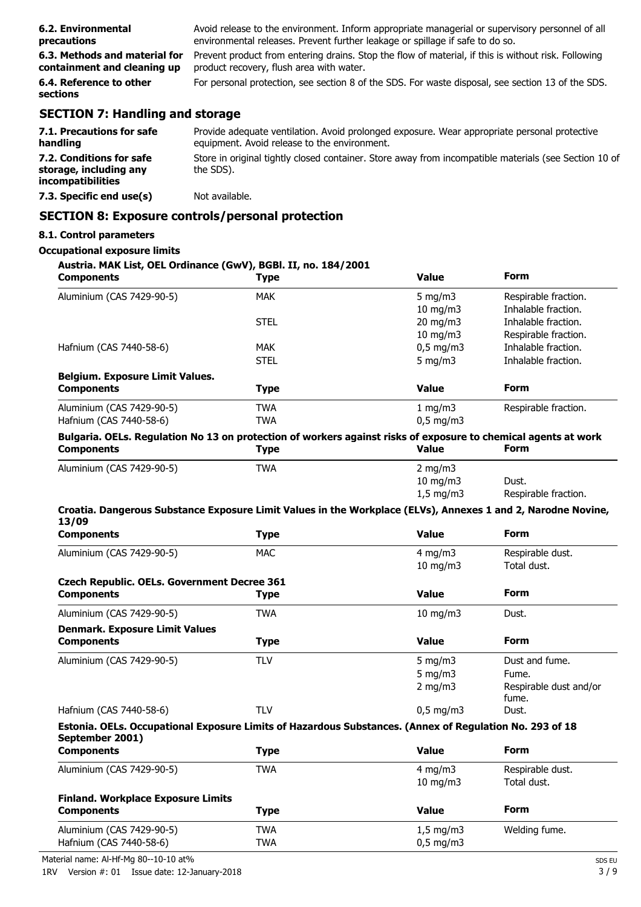| 6.2. Environmental                     | Avoid release to the environment. Inform appropriate managerial or supervisory personnel of all     |
|----------------------------------------|-----------------------------------------------------------------------------------------------------|
| precautions                            | environmental releases. Prevent further leakage or spillage if safe to do so.                       |
| 6.3. Methods and material for          | Prevent product from entering drains. Stop the flow of material, if this is without risk. Following |
| containment and cleaning up            | product recovery, flush area with water.                                                            |
| 6.4. Reference to other<br>sections    | For personal protection, see section 8 of the SDS. For waste disposal, see section 13 of the SDS.   |
| <b>SECTION 7: Handling and storage</b> |                                                                                                     |

| 7.1. Precautions for safe<br>handling                                   | Provide adequate ventilation. Avoid prolonged exposure. Wear appropriate personal protective<br>equipment. Avoid release to the environment. |
|-------------------------------------------------------------------------|----------------------------------------------------------------------------------------------------------------------------------------------|
| 7.2. Conditions for safe<br>storage, including any<br>incompatibilities | Store in original tightly closed container. Store away from incompatible materials (see Section 10 of<br>the SDS).                           |
| 7.3. Specific end use(s)                                                | Not available.                                                                                                                               |

# **SECTION 8: Exposure controls/personal protection**

### **8.1. Control parameters**

# **Occupational exposure limits**

| Austria. MAK List, OEL Ordinance (GwV), BGBI. II, no. 184/2001<br><b>Components</b>                                        | <b>Type</b> | <b>Value</b>              | <b>Form</b>                                |
|----------------------------------------------------------------------------------------------------------------------------|-------------|---------------------------|--------------------------------------------|
|                                                                                                                            |             |                           |                                            |
| Aluminium (CAS 7429-90-5)                                                                                                  | <b>MAK</b>  | 5 mg/m $3$                | Respirable fraction.                       |
|                                                                                                                            | <b>STEL</b> | $10$ mg/m $3$             | Inhalable fraction.<br>Inhalable fraction. |
|                                                                                                                            |             | 20 mg/m3<br>$10$ mg/m $3$ | Respirable fraction.                       |
| Hafnium (CAS 7440-58-6)                                                                                                    | <b>MAK</b>  | $0,5$ mg/m3               | Inhalable fraction.                        |
|                                                                                                                            | <b>STEL</b> | 5 mg/m $3$                | Inhalable fraction.                        |
|                                                                                                                            |             |                           |                                            |
| <b>Belgium. Exposure Limit Values.</b><br><b>Components</b>                                                                | <b>Type</b> | <b>Value</b>              | <b>Form</b>                                |
| Aluminium (CAS 7429-90-5)                                                                                                  | <b>TWA</b>  | 1 mg/m3                   | Respirable fraction.                       |
| Hafnium (CAS 7440-58-6)                                                                                                    | <b>TWA</b>  | $0,5$ mg/m3               |                                            |
| Bulgaria. OELs. Regulation No 13 on protection of workers against risks of exposure to chemical agents at work             |             |                           |                                            |
| <b>Components</b>                                                                                                          | <b>Type</b> | <b>Value</b>              | <b>Form</b>                                |
| Aluminium (CAS 7429-90-5)                                                                                                  | <b>TWA</b>  | 2 mg/m $3$                |                                            |
|                                                                                                                            |             | $10$ mg/m $3$             | Dust.                                      |
|                                                                                                                            |             | $1,5$ mg/m3               | Respirable fraction.                       |
| Croatia. Dangerous Substance Exposure Limit Values in the Workplace (ELVs), Annexes 1 and 2, Narodne Novine,               |             |                           |                                            |
| 13/09<br><b>Components</b>                                                                                                 | <b>Type</b> | <b>Value</b>              | <b>Form</b>                                |
| Aluminium (CAS 7429-90-5)                                                                                                  | <b>MAC</b>  | $4$ mg/m $3$              | Respirable dust.                           |
|                                                                                                                            |             | $10$ mg/m $3$             | Total dust.                                |
|                                                                                                                            |             |                           |                                            |
| <b>Czech Republic. OELs. Government Decree 361</b><br><b>Components</b>                                                    | <b>Type</b> | <b>Value</b>              | <b>Form</b>                                |
| Aluminium (CAS 7429-90-5)                                                                                                  | <b>TWA</b>  | $10$ mg/m $3$             | Dust.                                      |
| <b>Denmark. Exposure Limit Values</b>                                                                                      |             |                           |                                            |
| <b>Components</b>                                                                                                          | <b>Type</b> | <b>Value</b>              | <b>Form</b>                                |
| Aluminium (CAS 7429-90-5)                                                                                                  | <b>TLV</b>  | 5 mg/m $3$                | Dust and fume.                             |
|                                                                                                                            |             | $5$ mg/m $3$              | Fume.                                      |
|                                                                                                                            |             | $2$ mg/m $3$              | Respirable dust and/or                     |
|                                                                                                                            |             |                           | fume.                                      |
| Hafnium (CAS 7440-58-6)                                                                                                    | <b>TLV</b>  | $0,5$ mg/m3               | Dust.                                      |
| Estonia. OELs. Occupational Exposure Limits of Hazardous Substances. (Annex of Regulation No. 293 of 18<br>September 2001) |             |                           |                                            |
| <b>Components</b>                                                                                                          | <b>Type</b> | <b>Value</b>              | <b>Form</b>                                |
| Aluminium (CAS 7429-90-5)                                                                                                  | <b>TWA</b>  | $4$ mg/m $3$              | Respirable dust.                           |
|                                                                                                                            |             | $10 \text{ mg/m}$         | Total dust.                                |
| <b>Finland. Workplace Exposure Limits</b>                                                                                  |             |                           |                                            |
| <b>Components</b>                                                                                                          | <b>Type</b> | <b>Value</b>              | <b>Form</b>                                |
| Aluminium (CAS 7429-90-5)                                                                                                  | <b>TWA</b>  | $1,5$ mg/m3               | Welding fume.                              |
| Hafnium (CAS 7440-58-6)                                                                                                    | <b>TWA</b>  | $0,5$ mg/m3               |                                            |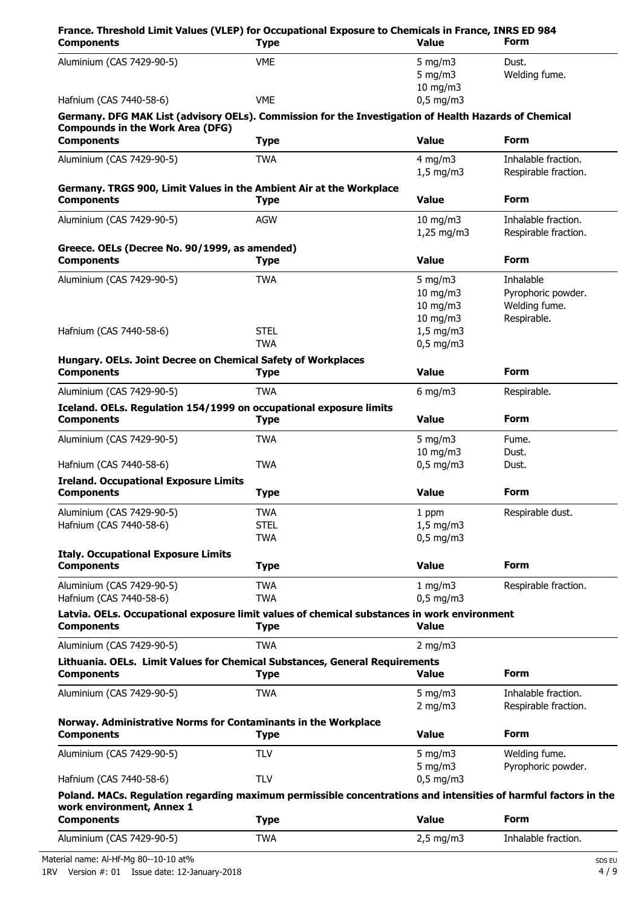| France. Threshold Limit Values (VLEP) for Occupational Exposure to Chemicals in France, INRS ED 984<br><b>Components</b> | <b>Type</b> | <b>Value</b>                     | Form                                        |
|--------------------------------------------------------------------------------------------------------------------------|-------------|----------------------------------|---------------------------------------------|
| Aluminium (CAS 7429-90-5)                                                                                                | <b>VME</b>  | 5 mg/m $3$<br>5 mg/m $3$         | Dust.<br>Welding fume.                      |
| Hafnium (CAS 7440-58-6)                                                                                                  | <b>VME</b>  | $10 \text{ mg/m}$<br>$0.5$ mg/m3 |                                             |
| Germany. DFG MAK List (advisory OELs). Commission for the Investigation of Health Hazards of Chemical                    |             |                                  |                                             |
| <b>Compounds in the Work Area (DFG)</b>                                                                                  |             |                                  |                                             |
| <b>Components</b>                                                                                                        | <b>Type</b> | <b>Value</b>                     | <b>Form</b>                                 |
| Aluminium (CAS 7429-90-5)                                                                                                | <b>TWA</b>  | $4 \text{ mg/m}$                 | Inhalable fraction.                         |
|                                                                                                                          |             | $1,5$ mg/m3                      | Respirable fraction.                        |
| Germany. TRGS 900, Limit Values in the Ambient Air at the Workplace                                                      |             |                                  |                                             |
| <b>Components</b>                                                                                                        | <b>Type</b> | <b>Value</b>                     | <b>Form</b>                                 |
| Aluminium (CAS 7429-90-5)                                                                                                | <b>AGW</b>  | $10$ mg/m $3$<br>$1,25$ mg/m3    | Inhalable fraction.<br>Respirable fraction. |
| Greece. OELs (Decree No. 90/1999, as amended)                                                                            |             |                                  |                                             |
| <b>Components</b>                                                                                                        | <b>Type</b> | <b>Value</b>                     | <b>Form</b>                                 |
| Aluminium (CAS 7429-90-5)                                                                                                | <b>TWA</b>  | 5 mg/m $3$                       | Inhalable                                   |
|                                                                                                                          |             | $10$ mg/m $3$                    | Pyrophoric powder.                          |
|                                                                                                                          |             | $10$ mg/m $3$                    | Welding fume.                               |
| Hafnium (CAS 7440-58-6)                                                                                                  | <b>STEL</b> | $10$ mg/m $3$<br>$1,5$ mg/m3     | Respirable.                                 |
|                                                                                                                          | <b>TWA</b>  | $0,5$ mg/m3                      |                                             |
| Hungary. OELs. Joint Decree on Chemical Safety of Workplaces                                                             |             |                                  |                                             |
| <b>Components</b>                                                                                                        | <b>Type</b> | <b>Value</b>                     | <b>Form</b>                                 |
| Aluminium (CAS 7429-90-5)                                                                                                | <b>TWA</b>  | $6$ mg/m3                        | Respirable.                                 |
| Iceland. OELs. Regulation 154/1999 on occupational exposure limits                                                       |             |                                  |                                             |
| <b>Components</b>                                                                                                        | <b>Type</b> | <b>Value</b>                     | <b>Form</b>                                 |
| Aluminium (CAS 7429-90-5)                                                                                                | <b>TWA</b>  | 5 mg/m $3$                       | Fume.                                       |
|                                                                                                                          |             | $10$ mg/m $3$                    | Dust.                                       |
| Hafnium (CAS 7440-58-6)                                                                                                  | <b>TWA</b>  | $0,5$ mg/m3                      | Dust.                                       |
| <b>Ireland. Occupational Exposure Limits</b><br><b>Components</b>                                                        | <b>Type</b> | <b>Value</b>                     | <b>Form</b>                                 |
| Aluminium (CAS 7429-90-5)                                                                                                | TWA         | 1 ppm                            | Respirable dust.                            |
| Hafnium (CAS 7440-58-6)                                                                                                  | <b>STEL</b> | $1,5$ mg/m3                      |                                             |
|                                                                                                                          | <b>TWA</b>  | $0,5$ mg/m3                      |                                             |
| <b>Italy. Occupational Exposure Limits</b>                                                                               |             |                                  |                                             |
| <b>Components</b>                                                                                                        | <b>Type</b> | <b>Value</b>                     | Form                                        |
| Aluminium (CAS 7429-90-5)                                                                                                | <b>TWA</b>  | 1 mg/m3                          | Respirable fraction.                        |
| Hafnium (CAS 7440-58-6)                                                                                                  | <b>TWA</b>  | $0,5$ mg/m3                      |                                             |
| Latvia. OELs. Occupational exposure limit values of chemical substances in work environment<br><b>Components</b>         | <b>Type</b> | <b>Value</b>                     |                                             |
| Aluminium (CAS 7429-90-5)                                                                                                | <b>TWA</b>  | $2$ mg/m $3$                     |                                             |
| Lithuania. OELs. Limit Values for Chemical Substances, General Requirements                                              |             |                                  |                                             |
| <b>Components</b>                                                                                                        | <b>Type</b> | <b>Value</b>                     | Form                                        |
| Aluminium (CAS 7429-90-5)                                                                                                | <b>TWA</b>  | 5 mg/m $3$                       | Inhalable fraction.                         |
|                                                                                                                          |             | $2$ mg/m $3$                     | Respirable fraction.                        |
| Norway. Administrative Norms for Contaminants in the Workplace                                                           |             |                                  |                                             |
| <b>Components</b>                                                                                                        | <b>Type</b> | <b>Value</b>                     | Form                                        |
| Aluminium (CAS 7429-90-5)                                                                                                | <b>TLV</b>  | $5$ mg/m $3$                     | Welding fume.                               |
|                                                                                                                          |             | $5$ mg/m $3$                     | Pyrophoric powder.                          |
| Hafnium (CAS 7440-58-6)                                                                                                  | <b>TLV</b>  | $0,5$ mg/m3                      |                                             |
| Poland. MACs. Regulation regarding maximum permissible concentrations and intensities of harmful factors in the          |             |                                  |                                             |
| work environment, Annex 1                                                                                                |             |                                  |                                             |
| <b>Components</b>                                                                                                        | <b>Type</b> | <b>Value</b>                     | <b>Form</b>                                 |
| Aluminium (CAS 7429-90-5)                                                                                                | <b>TWA</b>  | $2,5$ mg/m3                      | Inhalable fraction.                         |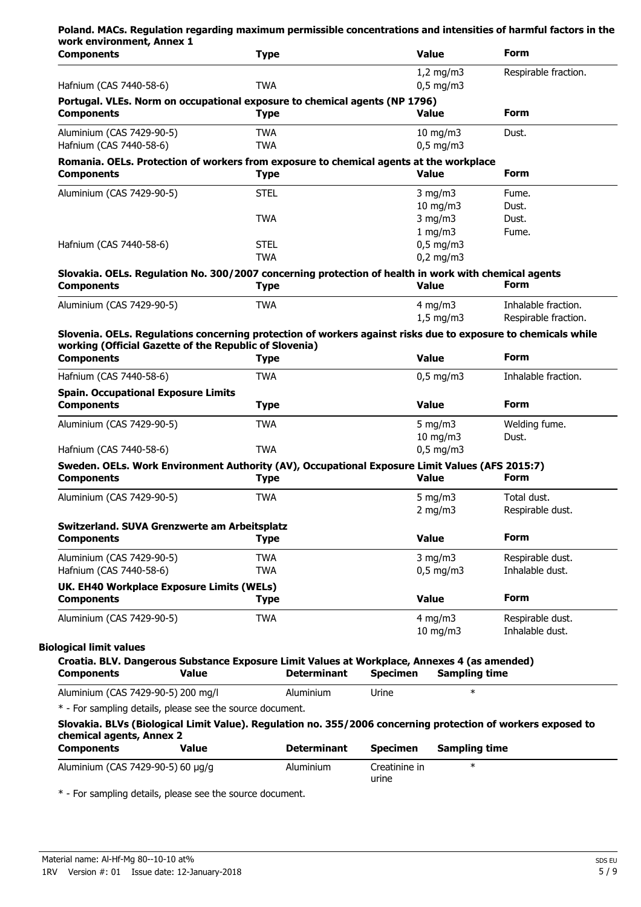| <b>Components</b>                                                                                                                        | <b>Type</b>              |                    |                        | <b>Value</b>                 | <b>Form</b>          |
|------------------------------------------------------------------------------------------------------------------------------------------|--------------------------|--------------------|------------------------|------------------------------|----------------------|
| Hafnium (CAS 7440-58-6)                                                                                                                  | <b>TWA</b>               |                    |                        | $1,2$ mg/m3<br>$0,5$ mg/m3   | Respirable fraction. |
| Portugal. VLEs. Norm on occupational exposure to chemical agents (NP 1796)<br><b>Components</b>                                          | <b>Type</b>              |                    |                        | <b>Value</b>                 | <b>Form</b>          |
| Aluminium (CAS 7429-90-5)<br>Hafnium (CAS 7440-58-6)                                                                                     | <b>TWA</b><br><b>TWA</b> |                    |                        | $10$ mg/m $3$<br>$0,5$ mg/m3 | Dust.                |
|                                                                                                                                          |                          |                    |                        |                              |                      |
| Romania. OELs. Protection of workers from exposure to chemical agents at the workplace<br><b>Components</b>                              | <b>Type</b>              |                    |                        | <b>Value</b>                 | <b>Form</b>          |
| Aluminium (CAS 7429-90-5)                                                                                                                | <b>STEL</b>              |                    |                        | $3 \text{ mg/m}$             | Fume.                |
|                                                                                                                                          |                          |                    |                        | $10$ mg/m $3$                | Dust.                |
|                                                                                                                                          | <b>TWA</b>               |                    |                        | $3$ mg/m $3$                 | Dust.                |
|                                                                                                                                          |                          |                    |                        | 1 mg/m3                      | Fume.                |
| Hafnium (CAS 7440-58-6)                                                                                                                  | <b>STEL</b>              |                    |                        | $0.5$ mg/m3                  |                      |
|                                                                                                                                          | <b>TWA</b>               |                    |                        | $0,2$ mg/m3                  |                      |
| Slovakia. OELs. Regulation No. 300/2007 concerning protection of health in work with chemical agents<br><b>Components</b>                | <b>Type</b>              |                    |                        | Value                        | <b>Form</b>          |
| Aluminium (CAS 7429-90-5)                                                                                                                | <b>TWA</b>               |                    |                        | $4$ mg/m $3$                 | Inhalable fraction.  |
|                                                                                                                                          |                          |                    |                        | $1,5$ mg/m3                  | Respirable fraction. |
| Slovenia. OELs. Regulations concerning protection of workers against risks due to exposure to chemicals while                            |                          |                    |                        |                              |                      |
| working (Official Gazette of the Republic of Slovenia)                                                                                   |                          |                    |                        |                              |                      |
| <b>Components</b>                                                                                                                        | <b>Type</b>              |                    |                        | <b>Value</b>                 | <b>Form</b>          |
| Hafnium (CAS 7440-58-6)                                                                                                                  | <b>TWA</b>               |                    |                        | $0,5$ mg/m3                  | Inhalable fraction.  |
| <b>Spain. Occupational Exposure Limits</b><br><b>Components</b>                                                                          | <b>Type</b>              |                    |                        | <b>Value</b>                 | <b>Form</b>          |
| Aluminium (CAS 7429-90-5)                                                                                                                | <b>TWA</b>               |                    |                        | 5 mg/m $3$                   | Welding fume.        |
|                                                                                                                                          |                          |                    |                        | $10$ mg/m $3$                | Dust.                |
| Hafnium (CAS 7440-58-6)                                                                                                                  | <b>TWA</b>               |                    |                        | $0,5$ mg/m3                  |                      |
| Sweden. OELs. Work Environment Authority (AV), Occupational Exposure Limit Values (AFS 2015:7)                                           |                          |                    |                        |                              | <b>Form</b>          |
| <b>Components</b>                                                                                                                        | <b>Type</b>              |                    |                        | <b>Value</b>                 |                      |
| Aluminium (CAS 7429-90-5)                                                                                                                | <b>TWA</b>               |                    |                        | 5 mg/m $3$                   | Total dust.          |
|                                                                                                                                          |                          |                    |                        | $2$ mg/m $3$                 | Respirable dust.     |
| Switzerland. SUVA Grenzwerte am Arbeitsplatz<br><b>Components</b>                                                                        | <b>Type</b>              |                    |                        | <b>Value</b>                 | <b>Form</b>          |
| Aluminium (CAS 7429-90-5)                                                                                                                | <b>TWA</b>               |                    |                        | $3$ mg/m $3$                 | Respirable dust.     |
| Hafnium (CAS 7440-58-6)                                                                                                                  | <b>TWA</b>               |                    |                        | $0,5$ mg/m3                  | Inhalable dust.      |
|                                                                                                                                          |                          |                    |                        |                              |                      |
| UK. EH40 Workplace Exposure Limits (WELs)<br><b>Components</b>                                                                           | <b>Type</b>              |                    |                        | <b>Value</b>                 | <b>Form</b>          |
| Aluminium (CAS 7429-90-5)                                                                                                                | <b>TWA</b>               |                    |                        | $4$ mg/m $3$                 | Respirable dust.     |
|                                                                                                                                          |                          |                    |                        | $10 \text{ mg/m}$            | Inhalable dust.      |
| <b>Biological limit values</b>                                                                                                           |                          |                    |                        |                              |                      |
| Croatia. BLV. Dangerous Substance Exposure Limit Values at Workplace, Annexes 4 (as amended)<br><b>Components</b><br><b>Value</b>        |                          | <b>Determinant</b> | <b>Specimen</b>        | <b>Sampling time</b>         |                      |
|                                                                                                                                          |                          | Aluminium          | Urine                  | $\ast$                       |                      |
| Aluminium (CAS 7429-90-5) 200 mg/l                                                                                                       |                          |                    |                        |                              |                      |
| * - For sampling details, please see the source document.                                                                                |                          |                    |                        |                              |                      |
| Slovakia. BLVs (Biological Limit Value). Regulation no. 355/2006 concerning protection of workers exposed to<br>chemical agents, Annex 2 |                          |                    |                        |                              |                      |
| <b>Components</b><br><b>Value</b>                                                                                                        |                          | <b>Determinant</b> | <b>Specimen</b>        | <b>Sampling time</b>         |                      |
| Aluminium (CAS 7429-90-5) 60 µg/g                                                                                                        |                          | Aluminium          | Creatinine in<br>urine | $\ast$                       |                      |

\* - For sampling details, please see the source document.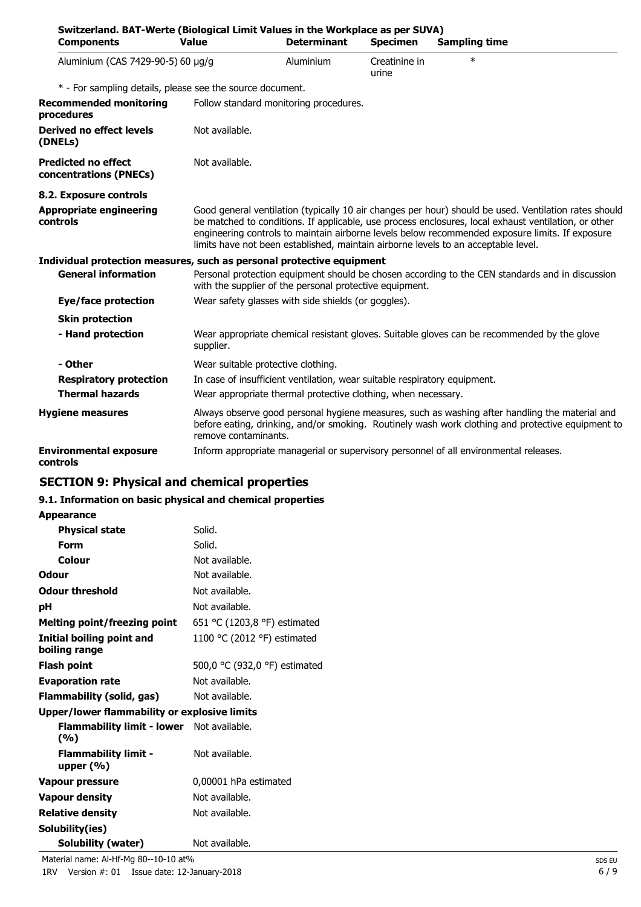| Switzerland. BAT-Werte (Biological Limit Values in the Workplace as per SUVA)<br><b>Components</b> | <b>Value</b>         | <b>Determinant</b>                                                        | <b>Specimen</b>        | <b>Sampling time</b>                                                                                                                                                                                                                                                                                                                                                                                   |
|----------------------------------------------------------------------------------------------------|----------------------|---------------------------------------------------------------------------|------------------------|--------------------------------------------------------------------------------------------------------------------------------------------------------------------------------------------------------------------------------------------------------------------------------------------------------------------------------------------------------------------------------------------------------|
| Aluminium (CAS 7429-90-5) 60 µg/g                                                                  |                      | Aluminium                                                                 | Creatinine in<br>urine | $\ast$                                                                                                                                                                                                                                                                                                                                                                                                 |
| * - For sampling details, please see the source document.                                          |                      |                                                                           |                        |                                                                                                                                                                                                                                                                                                                                                                                                        |
| <b>Recommended monitoring</b><br>procedures                                                        |                      | Follow standard monitoring procedures.                                    |                        |                                                                                                                                                                                                                                                                                                                                                                                                        |
| <b>Derived no effect levels</b><br>(DNELs)                                                         | Not available.       |                                                                           |                        |                                                                                                                                                                                                                                                                                                                                                                                                        |
| <b>Predicted no effect</b><br>concentrations (PNECs)                                               | Not available.       |                                                                           |                        |                                                                                                                                                                                                                                                                                                                                                                                                        |
| 8.2. Exposure controls                                                                             |                      |                                                                           |                        |                                                                                                                                                                                                                                                                                                                                                                                                        |
| <b>Appropriate engineering</b><br>controls                                                         |                      |                                                                           |                        | Good general ventilation (typically 10 air changes per hour) should be used. Ventilation rates should<br>be matched to conditions. If applicable, use process enclosures, local exhaust ventilation, or other<br>engineering controls to maintain airborne levels below recommended exposure limits. If exposure<br>limits have not been established, maintain airborne levels to an acceptable level. |
| Individual protection measures, such as personal protective equipment                              |                      |                                                                           |                        |                                                                                                                                                                                                                                                                                                                                                                                                        |
| <b>General information</b>                                                                         |                      | with the supplier of the personal protective equipment.                   |                        | Personal protection equipment should be chosen according to the CEN standards and in discussion                                                                                                                                                                                                                                                                                                        |
| Eye/face protection                                                                                |                      | Wear safety glasses with side shields (or goggles).                       |                        |                                                                                                                                                                                                                                                                                                                                                                                                        |
| <b>Skin protection</b>                                                                             |                      |                                                                           |                        |                                                                                                                                                                                                                                                                                                                                                                                                        |
| - Hand protection                                                                                  | supplier.            |                                                                           |                        | Wear appropriate chemical resistant gloves. Suitable gloves can be recommended by the glove                                                                                                                                                                                                                                                                                                            |
| - Other                                                                                            |                      | Wear suitable protective clothing.                                        |                        |                                                                                                                                                                                                                                                                                                                                                                                                        |
| <b>Respiratory protection</b>                                                                      |                      | In case of insufficient ventilation, wear suitable respiratory equipment. |                        |                                                                                                                                                                                                                                                                                                                                                                                                        |
| <b>Thermal hazards</b>                                                                             |                      | Wear appropriate thermal protective clothing, when necessary.             |                        |                                                                                                                                                                                                                                                                                                                                                                                                        |
| <b>Hygiene measures</b>                                                                            | remove contaminants. |                                                                           |                        | Always observe good personal hygiene measures, such as washing after handling the material and<br>before eating, drinking, and/or smoking. Routinely wash work clothing and protective equipment to                                                                                                                                                                                                    |
| <b>Environmental exposure</b><br>controls                                                          |                      |                                                                           |                        | Inform appropriate managerial or supervisory personnel of all environmental releases.                                                                                                                                                                                                                                                                                                                  |

# **SECTION 9: Physical and chemical properties**

### **9.1. Information on basic physical and chemical properties**

## **Appearance**

| <b>Physical state</b>                             | Solid.                        |
|---------------------------------------------------|-------------------------------|
| Form                                              | Solid.                        |
| Colour                                            | Not available.                |
| Odour                                             | Not available.                |
| <b>Odour threshold</b>                            | Not available.                |
| рH                                                | Not available.                |
| <b>Melting point/freezing point</b>               | 651 °C (1203,8 °F) estimated  |
| <b>Initial boiling point and</b><br>boiling range | 1100 °C (2012 °F) estimated   |
| <b>Flash point</b>                                | 500,0 °C (932,0 °F) estimated |
| <b>Evaporation rate</b>                           | Not available.                |
| Flammability (solid, gas)                         | Not available.                |
| Upper/lower flammability or explosive limits      |                               |
| Flammability limit - lower Not available.<br>(%)  |                               |
| <b>Flammability limit -</b><br>upper $(\% )$      | Not available.                |
| <b>Vapour pressure</b>                            | 0,00001 hPa estimated         |
| <b>Vapour density</b>                             | Not available.                |
| <b>Relative density</b>                           | Not available.                |
| Solubility(ies)                                   |                               |
| Solubility (water)                                | Not available.                |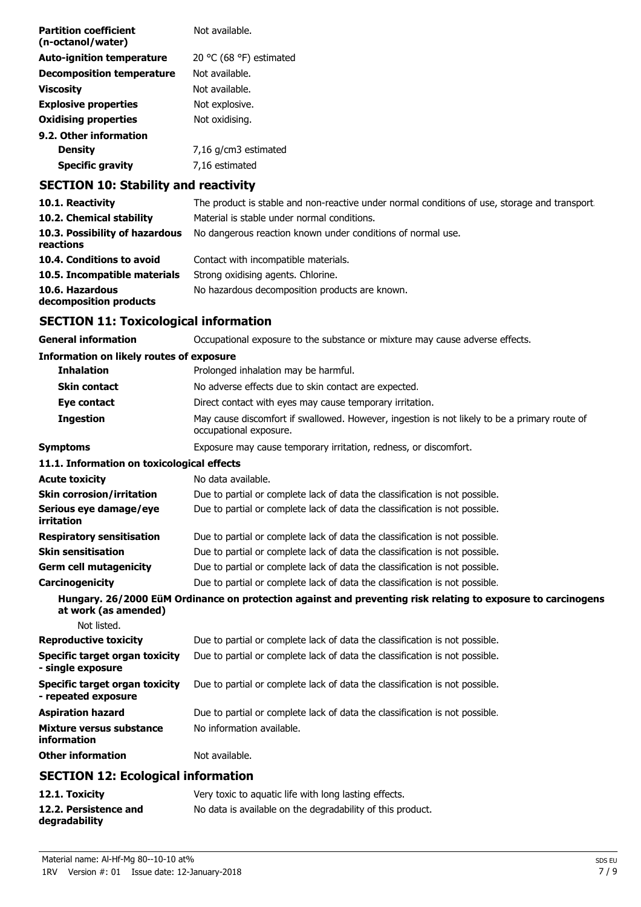| Not available.          |
|-------------------------|
| 20 °C (68 °F) estimated |
| Not available.          |
| Not available.          |
| Not explosive.          |
| Not oxidising.          |
|                         |
| 7,16 g/cm3 estimated    |
| 7,16 estimated          |
|                         |

# **SECTION 10: Stability and reactivity**

| 10.1. Reactivity                            | The product is stable and non-reactive under normal conditions of use, storage and transport. |
|---------------------------------------------|-----------------------------------------------------------------------------------------------|
| 10.2. Chemical stability                    | Material is stable under normal conditions.                                                   |
| 10.3. Possibility of hazardous<br>reactions | No dangerous reaction known under conditions of normal use.                                   |
| 10.4. Conditions to avoid                   | Contact with incompatible materials.                                                          |
| 10.5. Incompatible materials                | Strong oxidising agents. Chlorine.                                                            |
| 10.6. Hazardous<br>decomposition products   | No hazardous decomposition products are known.                                                |

# **SECTION 11: Toxicological information**

| <b>General information</b>                                   | Occupational exposure to the substance or mixture may cause adverse effects.                                           |
|--------------------------------------------------------------|------------------------------------------------------------------------------------------------------------------------|
| <b>Information on likely routes of exposure</b>              |                                                                                                                        |
| <b>Inhalation</b>                                            | Prolonged inhalation may be harmful.                                                                                   |
| <b>Skin contact</b>                                          | No adverse effects due to skin contact are expected.                                                                   |
| Eye contact                                                  | Direct contact with eyes may cause temporary irritation.                                                               |
| <b>Ingestion</b>                                             | May cause discomfort if swallowed. However, ingestion is not likely to be a primary route of<br>occupational exposure. |
| <b>Symptoms</b>                                              | Exposure may cause temporary irritation, redness, or discomfort.                                                       |
| 11.1. Information on toxicological effects                   |                                                                                                                        |
| <b>Acute toxicity</b>                                        | No data available.                                                                                                     |
| <b>Skin corrosion/irritation</b>                             | Due to partial or complete lack of data the classification is not possible.                                            |
| Serious eye damage/eye<br>irritation                         | Due to partial or complete lack of data the classification is not possible.                                            |
| <b>Respiratory sensitisation</b>                             | Due to partial or complete lack of data the classification is not possible.                                            |
| <b>Skin sensitisation</b>                                    | Due to partial or complete lack of data the classification is not possible.                                            |
| <b>Germ cell mutagenicity</b>                                | Due to partial or complete lack of data the classification is not possible.                                            |
| Carcinogenicity                                              | Due to partial or complete lack of data the classification is not possible.                                            |
| at work (as amended)                                         | Hungary. 26/2000 EüM Ordinance on protection against and preventing risk relating to exposure to carcinogens           |
| Not listed.                                                  |                                                                                                                        |
| <b>Reproductive toxicity</b>                                 | Due to partial or complete lack of data the classification is not possible.                                            |
| Specific target organ toxicity<br>- single exposure          | Due to partial or complete lack of data the classification is not possible.                                            |
| <b>Specific target organ toxicity</b><br>- repeated exposure | Due to partial or complete lack of data the classification is not possible.                                            |
| <b>Aspiration hazard</b>                                     | Due to partial or complete lack of data the classification is not possible.                                            |
| Mixture versus substance<br>information                      | No information available.                                                                                              |
| <b>Other information</b>                                     | Not available.                                                                                                         |
| <b>SECTION 12: Ecological information</b>                    |                                                                                                                        |

| 12.1. Toxicity                         | Very toxic to aguatic life with long lasting effects.      |
|----------------------------------------|------------------------------------------------------------|
| 12.2. Persistence and<br>degradability | No data is available on the degradability of this product. |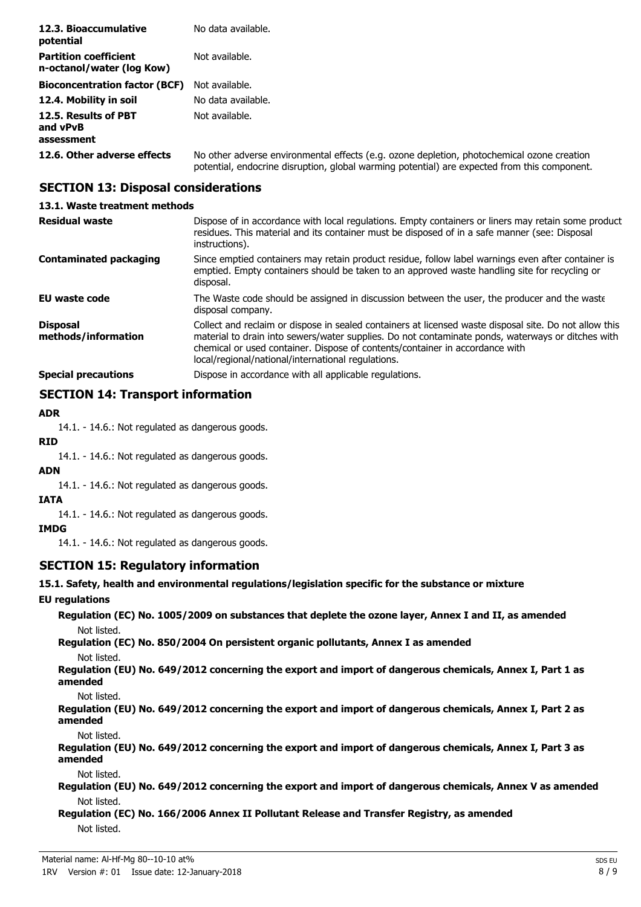| 12.3. Bioaccumulative<br>potential                        | No data available.                                                                                                                                                                         |
|-----------------------------------------------------------|--------------------------------------------------------------------------------------------------------------------------------------------------------------------------------------------|
| <b>Partition coefficient</b><br>n-octanol/water (log Kow) | Not available.                                                                                                                                                                             |
| <b>Bioconcentration factor (BCF)</b>                      | Not available.                                                                                                                                                                             |
| 12.4. Mobility in soil                                    | No data available.                                                                                                                                                                         |
| 12.5. Results of PBT<br>and vPvB<br>assessment            | Not available.                                                                                                                                                                             |
| 12.6. Other adverse effects                               | No other adverse environmental effects (e.g. ozone depletion, photochemical ozone creation<br>potential, endocrine disruption, global warming potential) are expected from this component. |

# **SECTION 13: Disposal considerations**

### **13.1. Waste treatment methods**

| <b>Residual waste</b>                  | Dispose of in accordance with local regulations. Empty containers or liners may retain some product<br>residues. This material and its container must be disposed of in a safe manner (see: Disposal<br>instructions).                                                                                                                            |
|----------------------------------------|---------------------------------------------------------------------------------------------------------------------------------------------------------------------------------------------------------------------------------------------------------------------------------------------------------------------------------------------------|
| <b>Contaminated packaging</b>          | Since emptied containers may retain product residue, follow label warnings even after container is<br>emptied. Empty containers should be taken to an approved waste handling site for recycling or<br>disposal.                                                                                                                                  |
| EU waste code                          | The Waste code should be assigned in discussion between the user, the producer and the waste<br>disposal company.                                                                                                                                                                                                                                 |
| <b>Disposal</b><br>methods/information | Collect and reclaim or dispose in sealed containers at licensed waste disposal site. Do not allow this<br>material to drain into sewers/water supplies. Do not contaminate ponds, waterways or ditches with<br>chemical or used container. Dispose of contents/container in accordance with<br>local/regional/national/international regulations. |
| <b>Special precautions</b>             | Dispose in accordance with all applicable regulations.                                                                                                                                                                                                                                                                                            |

# **SECTION 14: Transport information**

### **ADR**

14.1. - 14.6.: Not regulated as dangerous goods.

# **RID**

14.1. - 14.6.: Not regulated as dangerous goods.

#### **ADN**

14.1. - 14.6.: Not regulated as dangerous goods.

# **IATA**

14.1. - 14.6.: Not regulated as dangerous goods.

#### **IMDG**

14.1. - 14.6.: Not regulated as dangerous goods.

## **SECTION 15: Regulatory information**

**15.1. Safety, health and environmental regulations/legislation specific for the substance or mixture**

### **EU regulations**

**Regulation (EC) No. 1005/2009 on substances that deplete the ozone layer, Annex I and II, as amended** Not listed.

**Regulation (EC) No. 850/2004 On persistent organic pollutants, Annex I as amended**

Not listed.

**Regulation (EU) No. 649/2012 concerning the export and import of dangerous chemicals, Annex I, Part 1 as amended**

Not listed.

**Regulation (EU) No. 649/2012 concerning the export and import of dangerous chemicals, Annex I, Part 2 as amended**

Not listed.

**Regulation (EU) No. 649/2012 concerning the export and import of dangerous chemicals, Annex I, Part 3 as amended**

Not listed.

**Regulation (EU) No. 649/2012 concerning the export and import of dangerous chemicals, Annex V as amended** Not listed.

**Regulation (EC) No. 166/2006 Annex II Pollutant Release and Transfer Registry, as amended** Not listed.